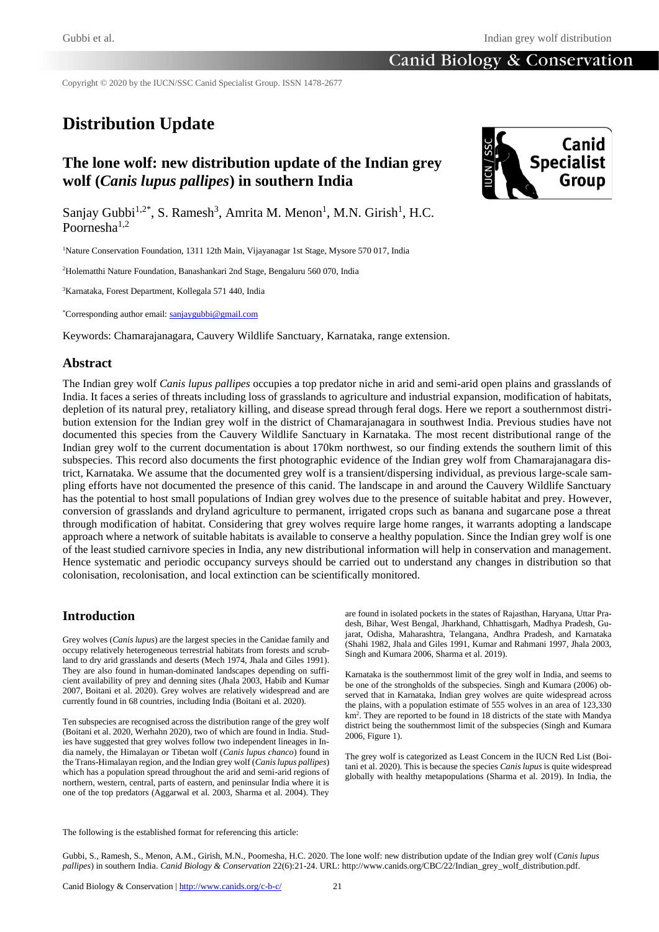Copyright © 2020 by the IUCN/SSC Canid Specialist Group. ISSN 1478-2677

# **Distribution Update**

# **The lone wolf: new distribution update of the Indian grey wolf (***Canis lupus pallipes***) in southern India**



Sanjay Gubbi<sup>1,2\*</sup>, S. Ramesh<sup>3</sup>, Amrita M. Menon<sup>1</sup>, M.N. Girish<sup>1</sup>, H.C. Poornesha1,2

<sup>1</sup>Nature Conservation Foundation, 1311 12th Main, Vijayanagar 1st Stage, Mysore 570 017, India

<sup>2</sup>Holematthi Nature Foundation, Banashankari 2nd Stage, Bengaluru 560 070, India

<sup>3</sup>Karnataka, Forest Department, Kollegala 571 440, India

\*Corresponding author email[: sanjaygubbi@gmail.com](about:blank)

Keywords: Chamarajanagara, Cauvery Wildlife Sanctuary, Karnataka, range extension.

### **Abstract**

The Indian grey wolf *Canis lupus pallipes* occupies a top predator niche in arid and semi-arid open plains and grasslands of India. It faces a series of threats including loss of grasslands to agriculture and industrial expansion, modification of habitats, depletion of its natural prey, retaliatory killing, and disease spread through feral dogs. Here we report a southernmost distribution extension for the Indian grey wolf in the district of Chamarajanagara in southwest India. Previous studies have not documented this species from the Cauvery Wildlife Sanctuary in Karnataka. The most recent distributional range of the Indian grey wolf to the current documentation is about 170km northwest, so our finding extends the southern limit of this subspecies. This record also documents the first photographic evidence of the Indian grey wolf from Chamarajanagara district, Karnataka. We assume that the documented grey wolf is a transient/dispersing individual, as previous large-scale sampling efforts have not documented the presence of this canid. The landscape in and around the Cauvery Wildlife Sanctuary has the potential to host small populations of Indian grey wolves due to the presence of suitable habitat and prey. However, conversion of grasslands and dryland agriculture to permanent, irrigated crops such as banana and sugarcane pose a threat through modification of habitat. Considering that grey wolves require large home ranges, it warrants adopting a landscape approach where a network of suitable habitats is available to conserve a healthy population. Since the Indian grey wolf is one of the least studied carnivore species in India, any new distributional information will help in conservation and management. Hence systematic and periodic occupancy surveys should be carried out to understand any changes in distribution so that colonisation, recolonisation, and local extinction can be scientifically monitored.

### **Introduction**

Grey wolves (*Canis lupus*) are the largest species in the Canidae family and occupy relatively heterogeneous terrestrial habitats from forests and scrubland to dry arid grasslands and deserts (Mech 1974, Jhala and Giles 1991). They are also found in human-dominated landscapes depending on sufficient availability of prey and denning sites (Jhala 2003, Habib and Kumar 2007, Boitani et al. 2020). Grey wolves are relatively widespread and are currently found in 68 countries, including India (Boitani et al. 2020).

Ten subspecies are recognised across the distribution range of the grey wolf (Boitani et al. 2020, Werhahn 2020), two of which are found in India. Studies have suggested that grey wolves follow two independent lineages in India namely, the Himalayan or Tibetan wolf (*Canis lupus chanco*) found in the Trans-Himalayan region, and the Indian grey wolf (*Canis lupus pallipes*) which has a population spread throughout the arid and semi-arid regions of northern, western, central, parts of eastern, and peninsular India where it is one of the top predators (Aggarwal et al. 2003, Sharma et al. 2004). They

are found in isolated pockets in the states of Rajasthan, Haryana, Uttar Pradesh, Bihar, West Bengal, Jharkhand, Chhattisgarh, Madhya Pradesh, Gujarat, Odisha, Maharashtra, Telangana, Andhra Pradesh, and Karnataka (Shahi 1982, Jhala and Giles 1991, Kumar and Rahmani 1997, Jhala 2003, Singh and Kumara 2006, Sharma et al. 2019).

Karnataka is the southernmost limit of the grey wolf in India, and seems to be one of the strongholds of the subspecies. Singh and Kumara (2006) observed that in Karnataka, Indian grey wolves are quite widespread across the plains, with a population estimate of 555 wolves in an area of 123,330 km<sup>2</sup> . They are reported to be found in 18 districts of the state with Mandya district being the southernmost limit of the subspecies (Singh and Kumara 2006, Figure 1).

The grey wolf is categorized as Least Concern in the IUCN Red List (Boitani et al. 2020). This is because the species *Canis lupus* is quite widespread globally with healthy metapopulations (Sharma et al. 2019). In India, the

The following is the established format for referencing this article:

Gubbi, S., Ramesh, S., Menon, A.M., Girish, M.N., Poornesha, H.C. 2020. The lone wolf: new distribution update of the Indian grey wolf (*Canis lupus pallipes*) in southern India. *Canid Biology & Conservation* 22(6):21-24. URL: http://www.canids.org/CBC/22/Indian\_grey\_wolf\_distribution.pdf.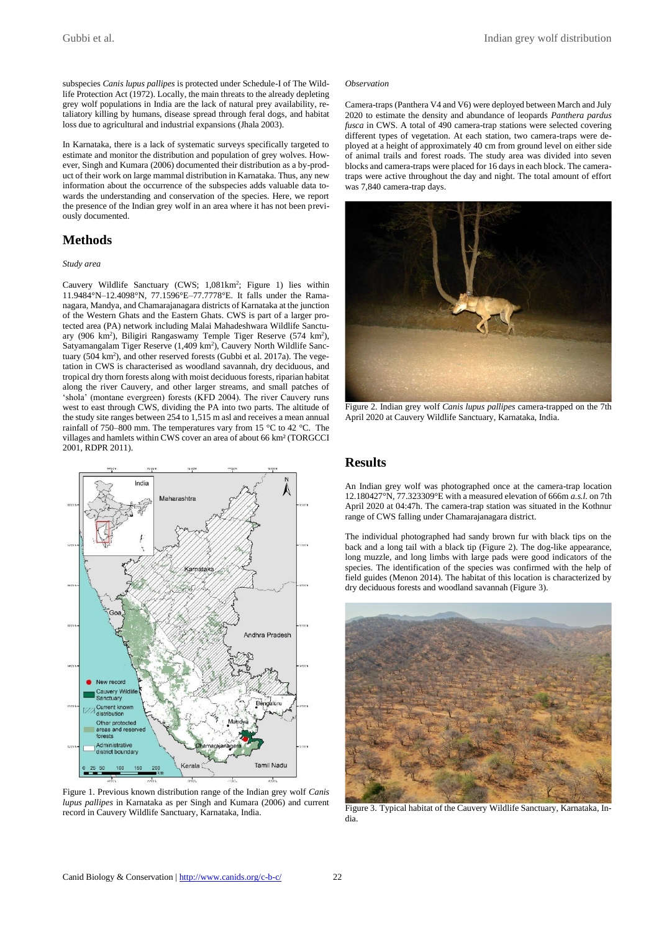subspecies *Canis lupus pallipes* is protected under Schedule-I of The Wildlife Protection Act (1972). Locally, the main threats to the already depleting grey wolf populations in India are the lack of natural prey availability, retaliatory killing by humans, disease spread through feral dogs, and habitat loss due to agricultural and industrial expansions (Jhala 2003).

In Karnataka, there is a lack of systematic surveys specifically targeted to estimate and monitor the distribution and population of grey wolves. However, Singh and Kumara (2006) documented their distribution as a by-product of their work on large mammal distribution in Karnataka. Thus, any new information about the occurrence of the subspecies adds valuable data towards the understanding and conservation of the species. Here, we report the presence of the Indian grey wolf in an area where it has not been previously documented.

# **Methods**

### *Study area*

Cauvery Wildlife Sanctuary (CWS; 1,081km<sup>2</sup>; Figure 1) lies within 11.9484°N–12.4098°N, 77.1596°E–77.7778°E. It falls under the Ramanagara, Mandya, and Chamarajanagara districts of Karnataka at the junction of the Western Ghats and the Eastern Ghats. CWS is part of a larger protected area (PA) network including Malai Mahadeshwara Wildlife Sanctuary (906 km<sup>2</sup>), Biligiri Rangaswamy Temple Tiger Reserve (574 km<sup>2</sup>), Satyamangalam Tiger Reserve (1,409 km<sup>2</sup>), Cauvery North Wildlife Sanctuary (504 km<sup>2</sup>), and other reserved forests (Gubbi et al. 2017a). The vegetation in CWS is characterised as woodland savannah, dry deciduous, and tropical dry thorn forests along with moist deciduous forests, riparian habitat along the river Cauvery, and other larger streams, and small patches of 'shola' (montane evergreen) forests (KFD 2004). The river Cauvery runs west to east through CWS, dividing the PA into two parts. The altitude of the study site ranges between 254 to 1,515 m asl and receives a mean annual rainfall of 750–800 mm. The temperatures vary from 15 °C to 42 °C. The villages and hamlets within CWS cover an area of about 66 km² (TORGCCI 2001, RDPR 2011).



Figure 1. Previous known distribution range of the Indian grey wolf *Canis lupus pallipes* in Karnataka as per Singh and Kumara (2006) and current record in Cauvery Wildlife Sanctuary, Karnataka, India.

#### *Observation*

Camera-traps (Panthera V4 and V6) were deployed between March and July 2020 to estimate the density and abundance of leopards *Panthera pardus fusca* in CWS. A total of 490 camera-trap stations were selected covering different types of vegetation. At each station, two camera-traps were deployed at a height of approximately 40 cm from ground level on either side of animal trails and forest roads. The study area was divided into seven blocks and camera-traps were placed for 16 days in each block. The cameratraps were active throughout the day and night. The total amount of effort was 7,840 camera-trap days.



Figure 2. Indian grey wolf *Canis lupus pallipes* camera-trapped on the 7th April 2020 at Cauvery Wildlife Sanctuary, Karnataka, India.

### **Results**

An Indian grey wolf was photographed once at the camera-trap location 12.180427°N, 77.323309°E with a measured elevation of 666m *a.s.l.* on 7th April 2020 at 04:47h. The camera-trap station was situated in the Kothnur range of CWS falling under Chamarajanagara district.

The individual photographed had sandy brown fur with black tips on the back and a long tail with a black tip (Figure 2). The dog-like appearance, long muzzle, and long limbs with large pads were good indicators of the species. The identification of the species was confirmed with the help of field guides (Menon 2014). The habitat of this location is characterized by dry deciduous forests and woodland savannah (Figure 3).



Figure 3. Typical habitat of the Cauvery Wildlife Sanctuary, Karnataka, India.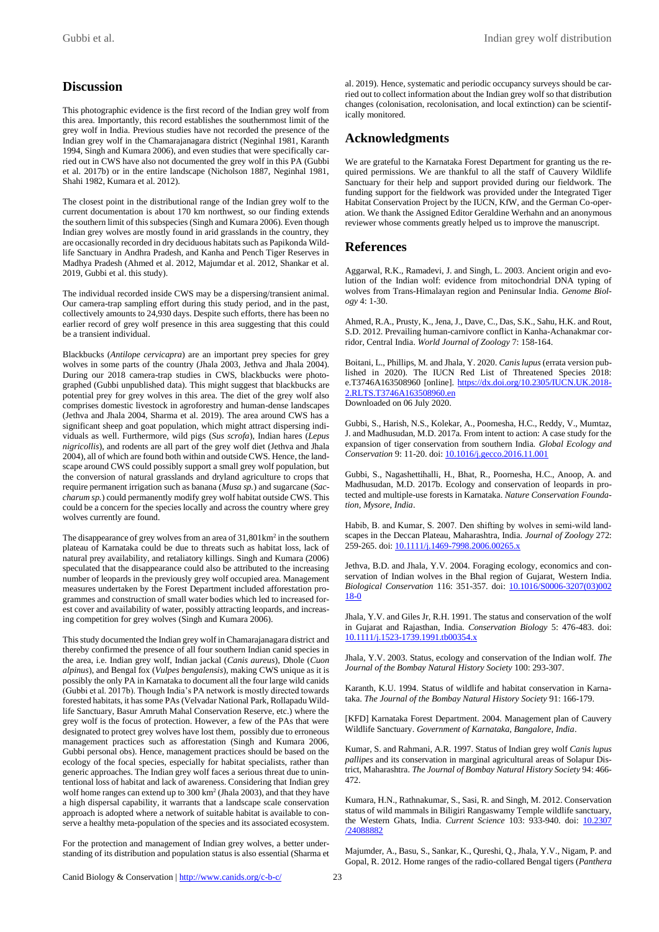## **Discussion**

This photographic evidence is the first record of the Indian grey wolf from this area. Importantly, this record establishes the southernmost limit of the grey wolf in India. Previous studies have not recorded the presence of the Indian grey wolf in the Chamarajanagara district (Neginhal 1981, Karanth 1994, Singh and Kumara 2006), and even studies that were specifically carried out in CWS have also not documented the grey wolf in this PA (Gubbi et al. 2017b) or in the entire landscape (Nicholson 1887, Neginhal 1981, Shahi 1982, Kumara et al. 2012).

The closest point in the distributional range of the Indian grey wolf to the current documentation is about 170 km northwest, so our finding extends the southern limit of this subspecies (Singh and Kumara 2006). Even though Indian grey wolves are mostly found in arid grasslands in the country, they are occasionally recorded in dry deciduous habitats such as Papikonda Wildlife Sanctuary in Andhra Pradesh, and Kanha and Pench Tiger Reserves in Madhya Pradesh (Ahmed et al. 2012, Majumdar et al. 2012, Shankar et al. 2019, Gubbi et al. this study).

The individual recorded inside CWS may be a dispersing/transient animal. Our camera-trap sampling effort during this study period, and in the past, collectively amounts to 24,930 days. Despite such efforts, there has been no earlier record of grey wolf presence in this area suggesting that this could be a transient individual.

Blackbucks (*Antilope cervicapra*) are an important prey species for grey wolves in some parts of the country (Jhala 2003, Jethva and Jhala 2004). During our 2018 camera-trap studies in CWS, blackbucks were photographed (Gubbi unpublished data). This might suggest that blackbucks are potential prey for grey wolves in this area. The diet of the grey wolf also comprises domestic livestock in agroforestry and human-dense landscapes (Jethva and Jhala 2004, Sharma et al. 2019). The area around CWS has a significant sheep and goat population, which might attract dispersing individuals as well. Furthermore, wild pigs (*Sus scrofa*), Indian hares (*Lepus nigricollis*), and rodents are all part of the grey wolf diet (Jethva and Jhala 2004), all of which are found both within and outside CWS. Hence, the landscape around CWS could possibly support a small grey wolf population, but the conversion of natural grasslands and dryland agriculture to crops that require permanent irrigation such as banana (*Musa sp.*) and sugarcane (*Saccharum sp.*) could permanently modify grey wolf habitat outside CWS. This could be a concern for the species locally and across the country where grey wolves currently are found.

The disappearance of grey wolves from an area of  $31,801 \text{km}^2$  in the southern plateau of Karnataka could be due to threats such as habitat loss, lack of natural prey availability, and retaliatory killings. Singh and Kumara (2006) speculated that the disappearance could also be attributed to the increasing number of leopards in the previously grey wolf occupied area. Management measures undertaken by the Forest Department included afforestation programmes and construction of small water bodies which led to increased forest cover and availability of water, possibly attracting leopards, and increasing competition for grey wolves (Singh and Kumara 2006).

This study documented the Indian grey wolf in Chamarajanagara district and thereby confirmed the presence of all four southern Indian canid species in the area, i.e. Indian grey wolf, Indian jackal (*Canis aureus*), Dhole (*Cuon alpinus*), and Bengal fox (*Vulpes bengalensis*), making CWS unique as it is possibly the only PA in Karnataka to document all the four large wild canids (Gubbi et al. 2017b). Though India's PA network is mostly directed towards forested habitats, it has some PAs (Velvadar National Park, Rollapadu Wildlife Sanctuary, Basur Amruth Mahal Conservation Reserve, etc.) where the grey wolf is the focus of protection. However, a few of the PAs that were designated to protect grey wolves have lost them, possibly due to erroneous management practices such as afforestation (Singh and Kumara 2006, Gubbi personal obs). Hence, management practices should be based on the ecology of the focal species, especially for habitat specialists, rather than generic approaches. The Indian grey wolf faces a serious threat due to unintentional loss of habitat and lack of awareness. Considering that Indian grey wolf home ranges can extend up to 300 km<sup>2</sup> (Jhala 2003), and that they have a high dispersal capability, it warrants that a landscape scale conservation approach is adopted where a network of suitable habitat is available to conserve a healthy meta-population of the species and its associated ecosystem.

For the protection and management of Indian grey wolves, a better understanding of its distribution and population status is also essential (Sharma et al. 2019). Hence, systematic and periodic occupancy surveys should be carried out to collect information about the Indian grey wolf so that distribution changes (colonisation, recolonisation, and local extinction) can be scientifically monitored.

# **Acknowledgments**

We are grateful to the Karnataka Forest Department for granting us the required permissions. We are thankful to all the staff of Cauvery Wildlife Sanctuary for their help and support provided during our fieldwork. The funding support for the fieldwork was provided under the Integrated Tiger Habitat Conservation Project by the IUCN, KfW, and the German Co-operation. We thank the Assigned Editor Geraldine Werhahn and an anonymous reviewer whose comments greatly helped us to improve the manuscript.

### **References**

Aggarwal, R.K., Ramadevi, J. and Singh, L. 2003. Ancient origin and evolution of the Indian wolf: evidence from mitochondrial DNA typing of wolves from Trans-Himalayan region and Peninsular India. *Genome Biology* 4: 1-30.

Ahmed, R.A., Prusty, K., Jena, J., Dave, C., Das, S.K., Sahu, H.K. and Rout, S.D. 2012. Prevailing human-carnivore conflict in Kanha-Achanakmar corridor, Central India. *World Journal of Zoology* 7: 158-164.

Boitani, L., Phillips, M. and Jhala, Y. 2020. *Canis lupus* (errata version published in 2020). The IUCN Red List of Threatened Species 2018: e.T3746A163508960 [online]. [https://dx.doi.org/10.2305/IUCN.UK.2018-](about:blank) [2.RLTS.T3746A163508960.en](about:blank) Downloaded on 06 July 2020.

Gubbi, S., Harish, N.S., Kolekar, A., Poornesha, H.C., Reddy, V., Mumtaz, J. and Madhusudan, M.D. 2017a. From intent to action: A case study for the expansion of tiger conservation from southern India. *Global Ecology and Conservation* 9: 11-20. doi[: 10.1016/j.gecco.2016.11.001](about:blank)

Gubbi, S., Nagashettihalli, H., Bhat, R., Poornesha, H.C., Anoop, A. and Madhusudan, M.D. 2017b. Ecology and conservation of leopards in protected and multiple-use forests in Karnataka. *Nature Conservation Foundation, Mysore, India*.

Habib, B. and Kumar, S. 2007. Den shifting by wolves in semi-wild landscapes in the Deccan Plateau, Maharashtra, India. *Journal of Zoology* 272: 259-265. doi: [10.1111/j.1469-7998.2006.00265.x](about:blank)

Jethva, B.D. and Jhala, Y.V. 2004. Foraging ecology, economics and conservation of Indian wolves in the Bhal region of Gujarat, Western India. *Biological Conservation* 116: 351-357. doi: [10.1016/S0006-3207\(03\)002](about:blank) [18-0](about:blank)

Jhala, Y.V. and Giles Jr, R.H. 1991. The status and conservation of the wolf in Gujarat and Rajasthan, India. *Conservation Biology* 5: 476-483. doi: [10.1111/j.1523-1739.1991.tb00354.x](about:blank)

Jhala, Y.V. 2003. Status, ecology and conservation of the Indian wolf. *The Journal of the Bombay Natural History Society* 100: 293-307.

Karanth, K.U. 1994. Status of wildlife and habitat conservation in Karnataka. *The Journal of the Bombay Natural History Society* 91: 166-179.

[KFD] Karnataka Forest Department. 2004. Management plan of Cauvery Wildlife Sanctuary. *Government of Karnataka, Bangalore, India*.

Kumar, S. and Rahmani, A.R. 1997. Status of Indian grey wolf *Canis lupus pallipes* and its conservation in marginal agricultural areas of Solapur District, Maharashtra. *The Journal of Bombay Natural History Society* 94: 466- 472.

Kumara, H.N., Rathnakumar, S., Sasi, R. and Singh, M. 2012. Conservation status of wild mammals in Biligiri Rangaswamy Temple wildlife sanctuary, the Western Ghats, India. *Current Science* 103: 933-940. doi: [10.2307](about:blank) [/24088882](about:blank)

Majumder, A., Basu, S., Sankar, K., Qureshi, Q., Jhala, Y.V., Nigam, P. and Gopal, R. 2012. Home ranges of the radio-collared Bengal tigers (*Panthera*